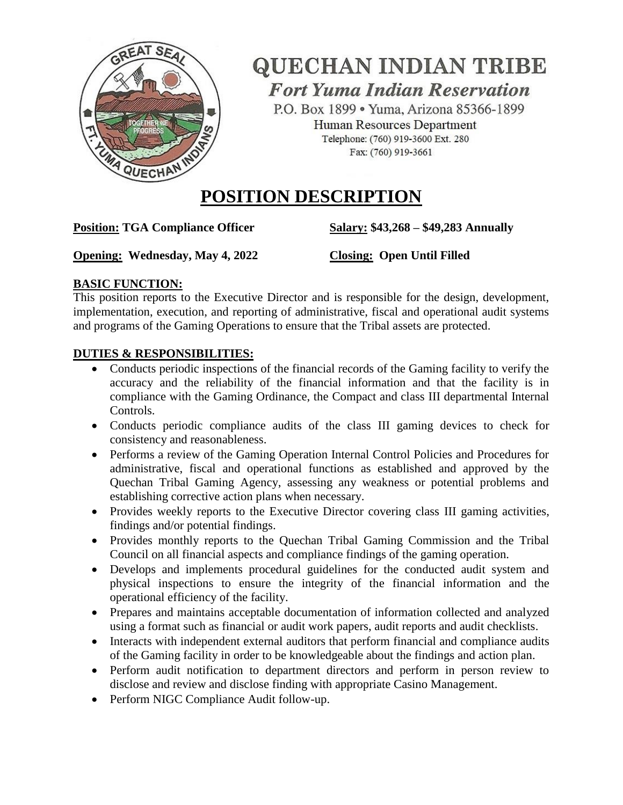

**QUECHAN INDIAN TRIBE Fort Yuma Indian Reservation** 

P.O. Box 1899 . Yuma, Arizona 85366-1899 Human Resources Department Telephone: (760) 919-3600 Ext. 280 Fax: (760) 919-3661

# **POSITION DESCRIPTION**

**Position: TGA Compliance Officer Salary: \$43,268 – \$49,283 Annually** 

**Opening:** Wednesday, May 4, 2022 Closing: Open Until Filled

## **BASIC FUNCTION:**

This position reports to the Executive Director and is responsible for the design, development, implementation, execution, and reporting of administrative, fiscal and operational audit systems and programs of the Gaming Operations to ensure that the Tribal assets are protected.

## **DUTIES & RESPONSIBILITIES:**

- Conducts periodic inspections of the financial records of the Gaming facility to verify the accuracy and the reliability of the financial information and that the facility is in compliance with the Gaming Ordinance, the Compact and class III departmental Internal Controls.
- Conducts periodic compliance audits of the class III gaming devices to check for consistency and reasonableness.
- Performs a review of the Gaming Operation Internal Control Policies and Procedures for administrative, fiscal and operational functions as established and approved by the Quechan Tribal Gaming Agency, assessing any weakness or potential problems and establishing corrective action plans when necessary.
- Provides weekly reports to the Executive Director covering class III gaming activities, findings and/or potential findings.
- Provides monthly reports to the Quechan Tribal Gaming Commission and the Tribal Council on all financial aspects and compliance findings of the gaming operation.
- Develops and implements procedural guidelines for the conducted audit system and physical inspections to ensure the integrity of the financial information and the operational efficiency of the facility.
- Prepares and maintains acceptable documentation of information collected and analyzed using a format such as financial or audit work papers, audit reports and audit checklists.
- Interacts with independent external auditors that perform financial and compliance audits of the Gaming facility in order to be knowledgeable about the findings and action plan.
- Perform audit notification to department directors and perform in person review to disclose and review and disclose finding with appropriate Casino Management.
- Perform NIGC Compliance Audit follow-up.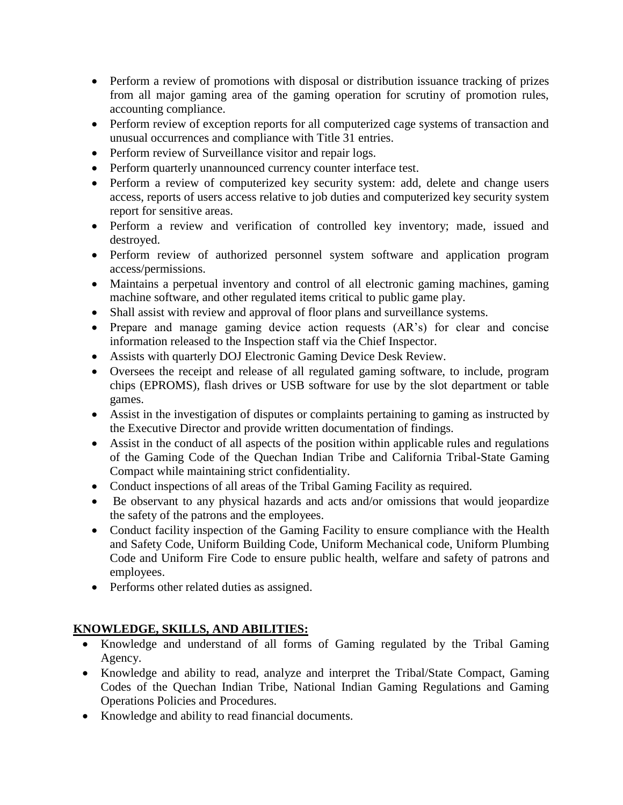- Perform a review of promotions with disposal or distribution issuance tracking of prizes from all major gaming area of the gaming operation for scrutiny of promotion rules, accounting compliance.
- Perform review of exception reports for all computerized cage systems of transaction and unusual occurrences and compliance with Title 31 entries.
- Perform review of Surveillance visitor and repair logs.
- Perform quarterly unannounced currency counter interface test.
- Perform a review of computerized key security system: add, delete and change users access, reports of users access relative to job duties and computerized key security system report for sensitive areas.
- Perform a review and verification of controlled key inventory; made, issued and destroyed.
- Perform review of authorized personnel system software and application program access/permissions.
- Maintains a perpetual inventory and control of all electronic gaming machines, gaming machine software, and other regulated items critical to public game play.
- Shall assist with review and approval of floor plans and surveillance systems.
- Prepare and manage gaming device action requests (AR's) for clear and concise information released to the Inspection staff via the Chief Inspector.
- Assists with quarterly DOJ Electronic Gaming Device Desk Review.
- Oversees the receipt and release of all regulated gaming software, to include, program chips (EPROMS), flash drives or USB software for use by the slot department or table games.
- Assist in the investigation of disputes or complaints pertaining to gaming as instructed by the Executive Director and provide written documentation of findings.
- Assist in the conduct of all aspects of the position within applicable rules and regulations of the Gaming Code of the Quechan Indian Tribe and California Tribal-State Gaming Compact while maintaining strict confidentiality.
- Conduct inspections of all areas of the Tribal Gaming Facility as required.
- Be observant to any physical hazards and acts and/or omissions that would jeopardize the safety of the patrons and the employees.
- Conduct facility inspection of the Gaming Facility to ensure compliance with the Health and Safety Code, Uniform Building Code, Uniform Mechanical code, Uniform Plumbing Code and Uniform Fire Code to ensure public health, welfare and safety of patrons and employees.
- Performs other related duties as assigned.

## **KNOWLEDGE, SKILLS, AND ABILITIES:**

- Knowledge and understand of all forms of Gaming regulated by the Tribal Gaming Agency.
- Knowledge and ability to read, analyze and interpret the Tribal/State Compact, Gaming Codes of the Quechan Indian Tribe, National Indian Gaming Regulations and Gaming Operations Policies and Procedures.
- Knowledge and ability to read financial documents.